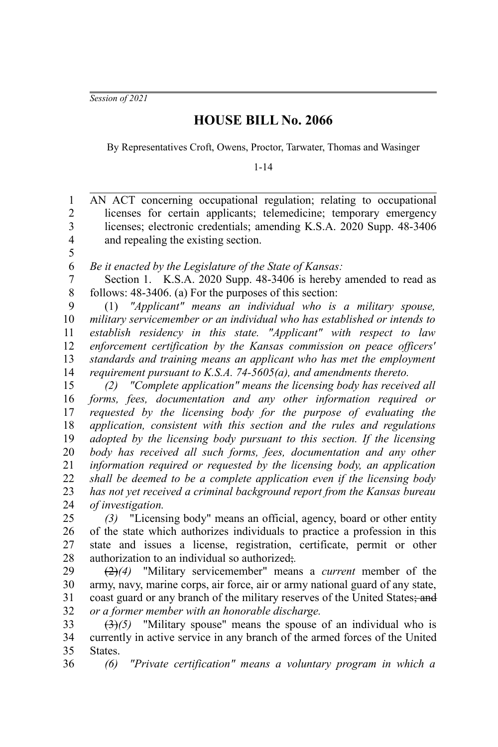*Session of 2021*

5

## **HOUSE BILL No. 2066**

By Representatives Croft, Owens, Proctor, Tarwater, Thomas and Wasinger

1-14

AN ACT concerning occupational regulation; relating to occupational licenses for certain applicants; telemedicine; temporary emergency licenses; electronic credentials; amending K.S.A. 2020 Supp. 48-3406 and repealing the existing section. 1 2 3 4

*Be it enacted by the Legislature of the State of Kansas:* 6

Section 1. K.S.A. 2020 Supp. 48-3406 is hereby amended to read as follows: 48-3406. (a) For the purposes of this section: 7 8

(1) *"Applicant" means an individual who is a military spouse, military servicemember or an individual who has established or intends to establish residency in this state. "Applicant" with respect to law enforcement certification by the Kansas commission on peace officers' standards and training means an applicant who has met the employment requirement pursuant to K.S.A. 74-5605(a), and amendments thereto.* 9 10 11 12 13 14

*(2) "Complete application" means the licensing body has received all forms, fees, documentation and any other information required or requested by the licensing body for the purpose of evaluating the application, consistent with this section and the rules and regulations adopted by the licensing body pursuant to this section. If the licensing body has received all such forms, fees, documentation and any other information required or requested by the licensing body, an application shall be deemed to be a complete application even if the licensing body has not yet received a criminal background report from the Kansas bureau of investigation.* 15 16 17 18 19 20 21 22 23 24

*(3)* "Licensing body" means an official, agency, board or other entity of the state which authorizes individuals to practice a profession in this state and issues a license, registration, certificate, permit or other authorization to an individual so authorized;*.* 25 26 27 28

(2)*(4)* "Military servicemember" means a *current* member of the army, navy, marine corps, air force, air or army national guard of any state, coast guard or any branch of the military reserves of the United States; and *or a former member with an honorable discharge.* 29 30 31 32

(3)*(5)* "Military spouse" means the spouse of an individual who is currently in active service in any branch of the armed forces of the United **States**. 33 34 35

*(6) "Private certification" means a voluntary program in which a* 36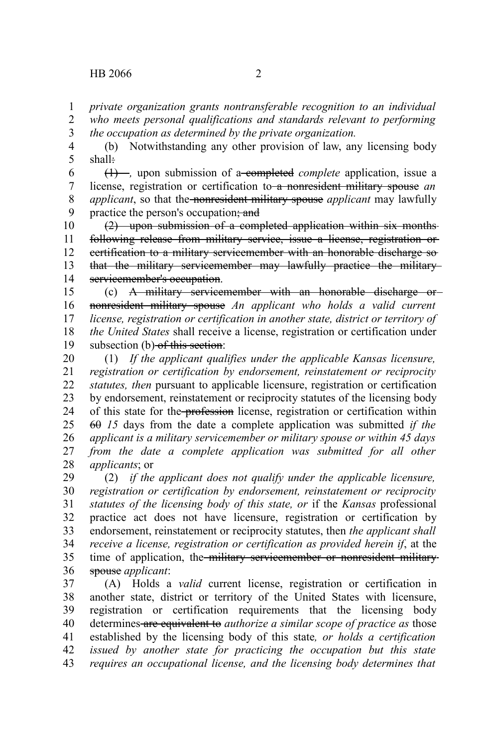*private organization grants nontransferable recognition to an individual who meets personal qualifications and standards relevant to performing* 1 2

*the occupation as determined by the private organization.* 3

(b) Notwithstanding any other provision of law, any licensing body shall: 4 5

(1) *,* upon submission of a completed *complete* application, issue a license, registration or certification to a nonresident military spouse *an applicant*, so that the nonresident military spouse *applicant* may lawfully practice the person's occupation; and 6 7 8 9

(2) upon submission of a completed application within six months following release from military service, issue a license, registration or certification to a military servicemember with an honorable discharge so that the military servicemember may lawfully practice the military servicemember's occupation. 10 11 12 13 14

(c) A military servicemember with an honorable discharge or nonresident military spouse *An applicant who holds a valid current license, registration or certification in another state, district or territory of the United States* shall receive a license, registration or certification under subsection (b) of this section: 15 16 17 18 19

(1) *If the applicant qualifies under the applicable Kansas licensure, registration or certification by endorsement, reinstatement or reciprocity statutes, then* pursuant to applicable licensure, registration or certification by endorsement, reinstatement or reciprocity statutes of the licensing body of this state for the profession license, registration or certification within 60 *15* days from the date a complete application was submitted *if the applicant is a military servicemember or military spouse or within 45 days from the date a complete application was submitted for all other applicants*; or 20 21 22 23 24 25 26 27 28

(2) *if the applicant does not qualify under the applicable licensure, registration or certification by endorsement, reinstatement or reciprocity statutes of the licensing body of this state, or* if the *Kansas* professional practice act does not have licensure, registration or certification by endorsement, reinstatement or reciprocity statutes, then *the applicant shall receive a license, registration or certification as provided herein if*, at the time of application, the military servicemember or nonresident militaryspouse *applicant*: 29 30 31 32 33 34 35 36

(A) Holds a *valid* current license, registration or certification in another state, district or territory of the United States with licensure, registration or certification requirements that the licensing body determines are equivalent to *authorize a similar scope of practice as* those established by the licensing body of this state*, or holds a certification issued by another state for practicing the occupation but this state requires an occupational license, and the licensing body determines that* 37 38 39 40 41 42 43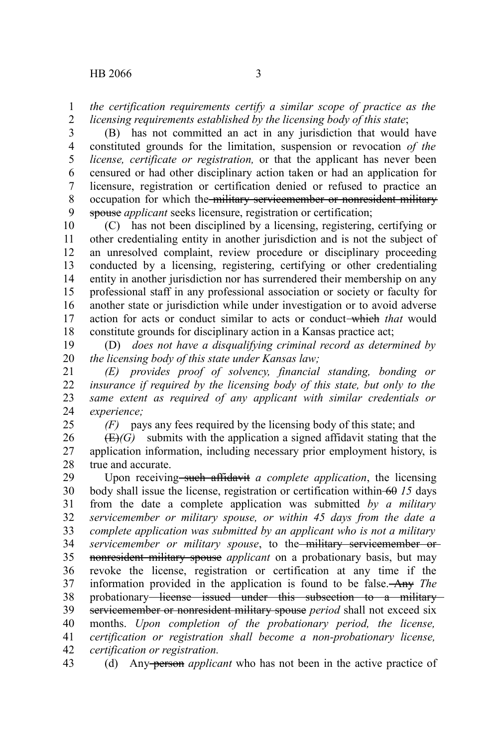*the certification requirements certify a similar scope of practice as the licensing requirements established by the licensing body of this state*; 1 2

(B) has not committed an act in any jurisdiction that would have constituted grounds for the limitation, suspension or revocation *of the license, certificate or registration,* or that the applicant has never been censured or had other disciplinary action taken or had an application for licensure, registration or certification denied or refused to practice an occupation for which the military servicemember or nonresident military spouse *applicant* seeks licensure, registration or certification; 3 4 5 6 7 8 9

(C) has not been disciplined by a licensing, registering, certifying or other credentialing entity in another jurisdiction and is not the subject of an unresolved complaint, review procedure or disciplinary proceeding conducted by a licensing, registering, certifying or other credentialing entity in another jurisdiction nor has surrendered their membership on any professional staff in any professional association or society or faculty for another state or jurisdiction while under investigation or to avoid adverse action for acts or conduct similar to acts or conduct which *that* would constitute grounds for disciplinary action in a Kansas practice act; 10 11 12 13 14 15 16 17 18

(D) *does not have a disqualifying criminal record as determined by the licensing body of this state under Kansas law;* 19 20

*(E) provides proof of solvency, financial standing, bonding or insurance if required by the licensing body of this state, but only to the same extent as required of any applicant with similar credentials or experience;* 21 22 23 24

25

*(F)* pays any fees required by the licensing body of this state; and

 $(E)(G)$  submits with the application a signed affidavit stating that the application information, including necessary prior employment history, is true and accurate. 26 27 28

Upon receiving such affidavit *a complete application*, the licensing body shall issue the license, registration or certification within 60 *15* days from the date a complete application was submitted *by a military servicemember or military spouse, or within 45 days from the date a complete application was submitted by an applicant who is not a military servicemember or military spouse*, to the military servicemember or nonresident military spouse *applicant* on a probationary basis, but may revoke the license, registration or certification at any time if the information provided in the application is found to be false. Any *The* probationary license issued under this subsection to a military servicemember or nonresident military spouse *period* shall not exceed six months. *Upon completion of the probationary period, the license, certification or registration shall become a non-probationary license, certification or registration.* 29 30 31 32 33 34 35 36 37 38 39 40 41 42

(d) Any person *applicant* who has not been in the active practice of 43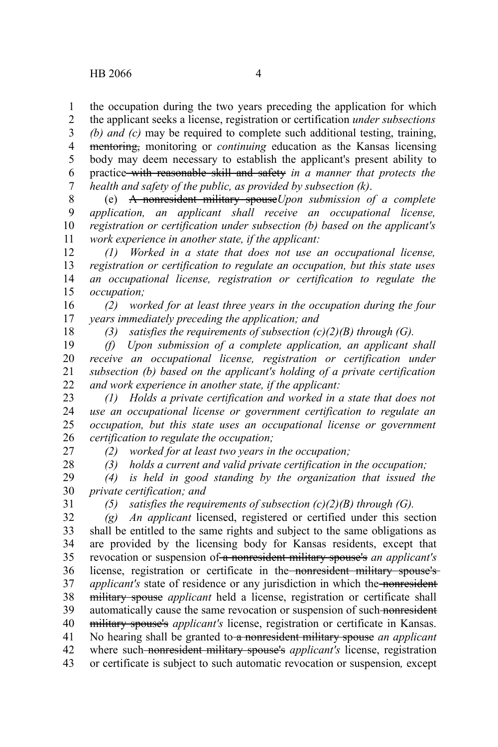the occupation during the two years preceding the application for which the applicant seeks a license, registration or certification *under subsections* 1 2

*(b) and (c)* may be required to complete such additional testing, training, mentoring, monitoring or *continuing* education as the Kansas licensing body may deem necessary to establish the applicant's present ability to practice with reasonable skill and safety *in a manner that protects the health and safety of the public, as provided by subsection (k)*. 3 4 5 6 7

(e) A nonresident military spouse*Upon submission of a complete application, an applicant shall receive an occupational license, registration or certification under subsection (b) based on the applicant's work experience in another state, if the applicant:* 8 9 10 11

*(1) Worked in a state that does not use an occupational license, registration or certification to regulate an occupation, but this state uses an occupational license, registration or certification to regulate the occupation;* 12 13 14 15

*(2) worked for at least three years in the occupation during the four years immediately preceding the application; and* 16 17

18

*(3) satisfies the requirements of subsection (c)(2)(B) through (G).*

*(f) Upon submission of a complete application, an applicant shall receive an occupational license, registration or certification under subsection (b) based on the applicant's holding of a private certification and work experience in another state, if the applicant:* 19 20 21 22

*(1) Holds a private certification and worked in a state that does not use an occupational license or government certification to regulate an occupation, but this state uses an occupational license or government certification to regulate the occupation;* 23 24 25 26

27

*(2) worked for at least two years in the occupation;*

28

*(3) holds a current and valid private certification in the occupation;*

*(4) is held in good standing by the organization that issued the private certification; and* 29 30

31

*(5) satisfies the requirements of subsection (c)(2)(B) through (G).*

*(g) An applicant* licensed, registered or certified under this section shall be entitled to the same rights and subject to the same obligations as are provided by the licensing body for Kansas residents, except that revocation or suspension of a nonresident military spouse's *an applicant's* license, registration or certificate in the nonresident military spouse's *applicant's* state of residence or any jurisdiction in which the nonresident military spouse *applicant* held a license, registration or certificate shall automatically cause the same revocation or suspension of such nonresident military spouse's *applicant's* license, registration or certificate in Kansas. No hearing shall be granted to a nonresident military spouse *an applicant* where such nonresident military spouse's *applicant's* license, registration 32 33 34 35 36 37 38 39 40 41 42

or certificate is subject to such automatic revocation or suspension*,* except 43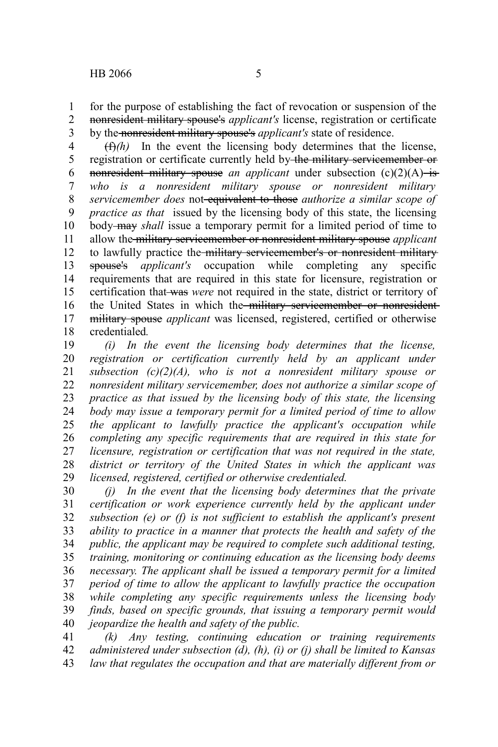for the purpose of establishing the fact of revocation or suspension of the nonresident military spouse's *applicant's* license, registration or certificate by the nonresident military spouse's *applicant's* state of residence. 1 2 3

 $(f)$ <sup>(f)</sup>) In the event the licensing body determines that the license, registration or certificate currently held by the military servicemember or nonresident military spouse *an applicant* under subsection (c)(2)(A) is *who is a nonresident military spouse or nonresident military servicemember does* not equivalent to those *authorize a similar scope of practice as that* issued by the licensing body of this state, the licensing body may *shall* issue a temporary permit for a limited period of time to allow the military servicemember or nonresident military spouse *applicant* to lawfully practice the military servicemember's or nonresident military spouse's *applicant's* occupation while completing any specific requirements that are required in this state for licensure, registration or certification that was *were* not required in the state, district or territory of the United States in which the military servicemember or nonresident military spouse *applicant* was licensed, registered, certified or otherwise credentialed*.* 4 5 6 7 8 9 10 11 12 13 14 15 16 17 18

*(i) In the event the licensing body determines that the license, registration or certification currently held by an applicant under subsection (c)(2)(A), who is not a nonresident military spouse or nonresident military servicemember, does not authorize a similar scope of practice as that issued by the licensing body of this state, the licensing body may issue a temporary permit for a limited period of time to allow the applicant to lawfully practice the applicant's occupation while completing any specific requirements that are required in this state for licensure, registration or certification that was not required in the state, district or territory of the United States in which the applicant was licensed, registered, certified or otherwise credentialed.* 19 20 21 22 23 24 25 26 27 28 29

*(j) In the event that the licensing body determines that the private certification or work experience currently held by the applicant under subsection (e) or (f) is not sufficient to establish the applicant's present ability to practice in a manner that protects the health and safety of the public, the applicant may be required to complete such additional testing, training, monitoring or continuing education as the licensing body deems necessary. The applicant shall be issued a temporary permit for a limited period of time to allow the applicant to lawfully practice the occupation while completing any specific requirements unless the licensing body finds, based on specific grounds, that issuing a temporary permit would jeopardize the health and safety of the public.* 30 31 32 33 34 35 36 37 38 39 40

*(k) Any testing, continuing education or training requirements administered under subsection (d), (h), (i) or (j) shall be limited to Kansas law that regulates the occupation and that are materially different from or* 41 42 43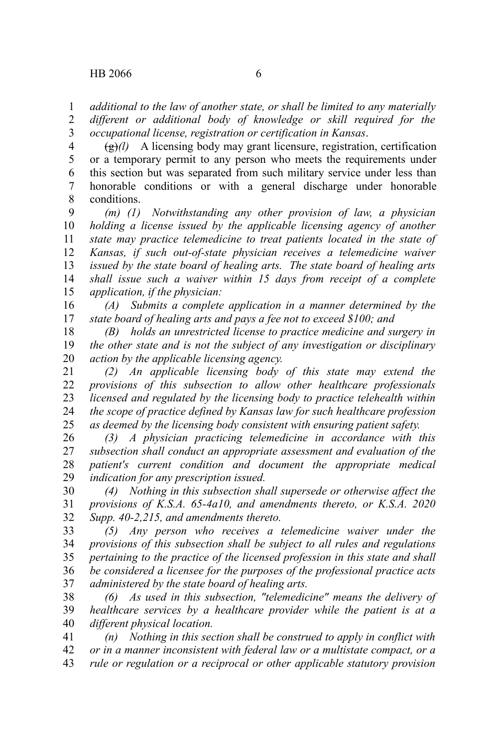*additional to the law of another state, or shall be limited to any materially different or additional body of knowledge or skill required for the occupational license, registration or certification in Kansas*. 1 2 3

 $\left(\frac{g}{g}\right)$  A licensing body may grant licensure, registration, certification or a temporary permit to any person who meets the requirements under this section but was separated from such military service under less than honorable conditions or with a general discharge under honorable conditions. 4 5 6 7 8

*(m) (1) Notwithstanding any other provision of law, a physician holding a license issued by the applicable licensing agency of another state may practice telemedicine to treat patients located in the state of Kansas, if such out-of-state physician receives a telemedicine waiver issued by the state board of healing arts. The state board of healing arts shall issue such a waiver within 15 days from receipt of a complete application, if the physician:* 9 10 11 12 13 14 15

*(A) Submits a complete application in a manner determined by the state board of healing arts and pays a fee not to exceed \$100; and* 16 17

*(B) holds an unrestricted license to practice medicine and surgery in the other state and is not the subject of any investigation or disciplinary action by the applicable licensing agency.* 18 19 20

*(2) An applicable licensing body of this state may extend the provisions of this subsection to allow other healthcare professionals licensed and regulated by the licensing body to practice telehealth within the scope of practice defined by Kansas law for such healthcare profession as deemed by the licensing body consistent with ensuring patient safety.* 21 22 23 24 25

*(3) A physician practicing telemedicine in accordance with this subsection shall conduct an appropriate assessment and evaluation of the patient's current condition and document the appropriate medical indication for any prescription issued.* 26 27 28 29

*(4) Nothing in this subsection shall supersede or otherwise affect the provisions of K.S.A. 65-4a10, and amendments thereto, or K.S.A. 2020 Supp. 40-2,215, and amendments thereto.* 30 31 32

*(5) Any person who receives a telemedicine waiver under the provisions of this subsection shall be subject to all rules and regulations pertaining to the practice of the licensed profession in this state and shall be considered a licensee for the purposes of the professional practice acts administered by the state board of healing arts.* 33 34 35 36 37

*(6) As used in this subsection, "telemedicine" means the delivery of healthcare services by a healthcare provider while the patient is at a different physical location.* 38 39 40

*(n) Nothing in this section shall be construed to apply in conflict with or in a manner inconsistent with federal law or a multistate compact, or a rule or regulation or a reciprocal or other applicable statutory provision* 41 42 43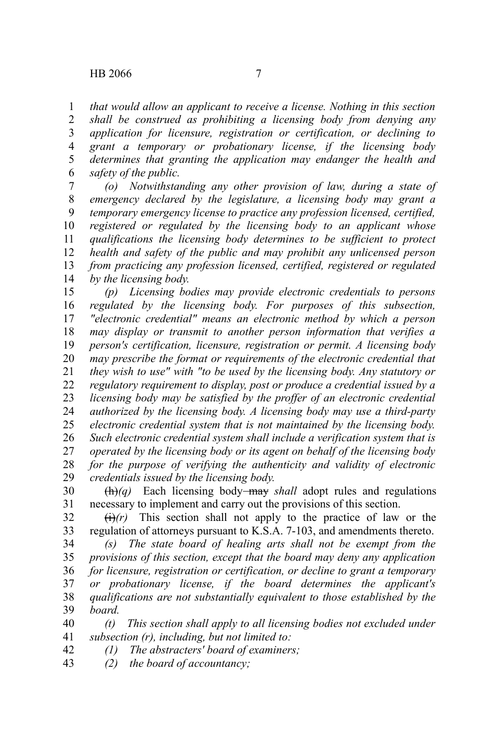*that would allow an applicant to receive a license. Nothing in this section* 1

*shall be construed as prohibiting a licensing body from denying any application for licensure, registration or certification, or declining to grant a temporary or probationary license, if the licensing body determines that granting the application may endanger the health and safety of the public.* 2 3 4 5 6

*(o) Notwithstanding any other provision of law, during a state of emergency declared by the legislature, a licensing body may grant a temporary emergency license to practice any profession licensed, certified, registered or regulated by the licensing body to an applicant whose qualifications the licensing body determines to be sufficient to protect health and safety of the public and may prohibit any unlicensed person from practicing any profession licensed, certified, registered or regulated by the licensing body.* 7 8 9 10 11 12 13 14

*(p) Licensing bodies may provide electronic credentials to persons regulated by the licensing body. For purposes of this subsection, "electronic credential" means an electronic method by which a person may display or transmit to another person information that verifies a person's certification, licensure, registration or permit. A licensing body may prescribe the format or requirements of the electronic credential that they wish to use" with "to be used by the licensing body. Any statutory or regulatory requirement to display, post or produce a credential issued by a licensing body may be satisfied by the proffer of an electronic credential authorized by the licensing body. A licensing body may use a third-party electronic credential system that is not maintained by the licensing body. Such electronic credential system shall include a verification system that is operated by the licensing body or its agent on behalf of the licensing body for the purpose of verifying the authenticity and validity of electronic credentials issued by the licensing body.* 15 16 17 18 19 20 21 22 23 24 25 26 27 28 29

 $\left(\frac{h}{q}\right)$  Each licensing body-may *shall* adopt rules and regulations necessary to implement and carry out the provisions of this section. 30 31

 $\left(\frac{f}{f}\right)(r)$  This section shall not apply to the practice of law or the regulation of attorneys pursuant to K.S.A. 7-103, and amendments thereto. 32 33

*(s) The state board of healing arts shall not be exempt from the provisions of this section, except that the board may deny any application for licensure, registration or certification, or decline to grant a temporary or probationary license, if the board determines the applicant's qualifications are not substantially equivalent to those established by the board.* 34 35 36 37 38 39

*(t) This section shall apply to all licensing bodies not excluded under subsection (r), including, but not limited to:* 40 41

- *(1) The abstracters' board of examiners;* 42
- *(2) the board of accountancy;* 43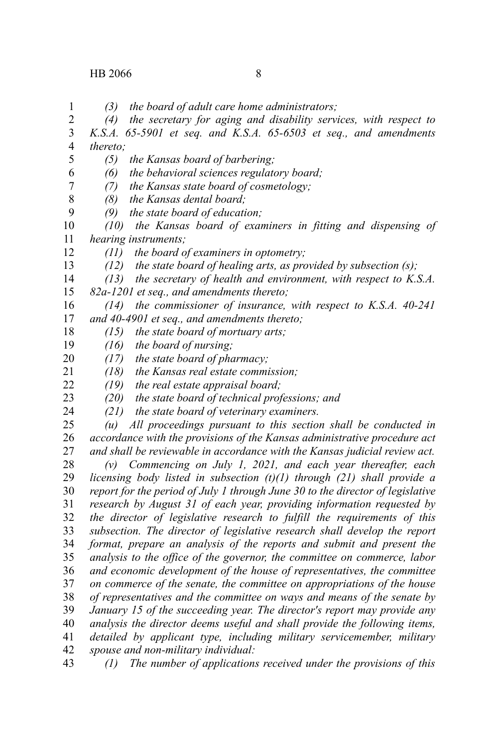1 2 3

*(4) the secretary for aging and disability services, with respect to K.S.A. 65-5901 et seq. and K.S.A. 65-6503 et seq., and amendments*

*(3) the board of adult care home administrators;*

*thereto; (5) the Kansas board of barbering; (6) the behavioral sciences regulatory board; (7) the Kansas state board of cosmetology; (8) the Kansas dental board; (9) the state board of education; (10) the Kansas board of examiners in fitting and dispensing of hearing instruments; (11) the board of examiners in optometry; (12) the state board of healing arts, as provided by subsection (s); (13) the secretary of health and environment, with respect to K.S.A. 82a-1201 et seq., and amendments thereto; (14) the commissioner of insurance, with respect to K.S.A. 40-241 and 40-4901 et seq., and amendments thereto; (15) the state board of mortuary arts; (16) the board of nursing; (17) the state board of pharmacy; (18) the Kansas real estate commission; (19) the real estate appraisal board; (20) the state board of technical professions; and (21) the state board of veterinary examiners. (u) All proceedings pursuant to this section shall be conducted in accordance with the provisions of the Kansas administrative procedure act and shall be reviewable in accordance with the Kansas judicial review act. (v) Commencing on July 1, 2021, and each year thereafter, each licensing body listed in subsection (t)(1) through (21) shall provide a report for the period of July 1 through June 30 to the director of legislative research by August 31 of each year, providing information requested by the director of legislative research to fulfill the requirements of this subsection. The director of legislative research shall develop the report format, prepare an analysis of the reports and submit and present the analysis to the office of the governor, the committee on commerce, labor and economic development of the house of representatives, the committee on commerce of the senate, the committee on appropriations of the house of representatives and the committee on ways and means of the senate by January 15 of the succeeding year. The director's report may provide any analysis the director deems useful and shall provide the following items, detailed by applicant type, including military servicemember, military spouse and non-military individual: (1) The number of applications received under the provisions of this* 4 5 6 7 8 9 10 11 12 13 14 15 16 17 18 19 20 21 22 23 24 25 26 27 28 29 30 31 32 33 34 35 36 37 38 39 40 41 42 43